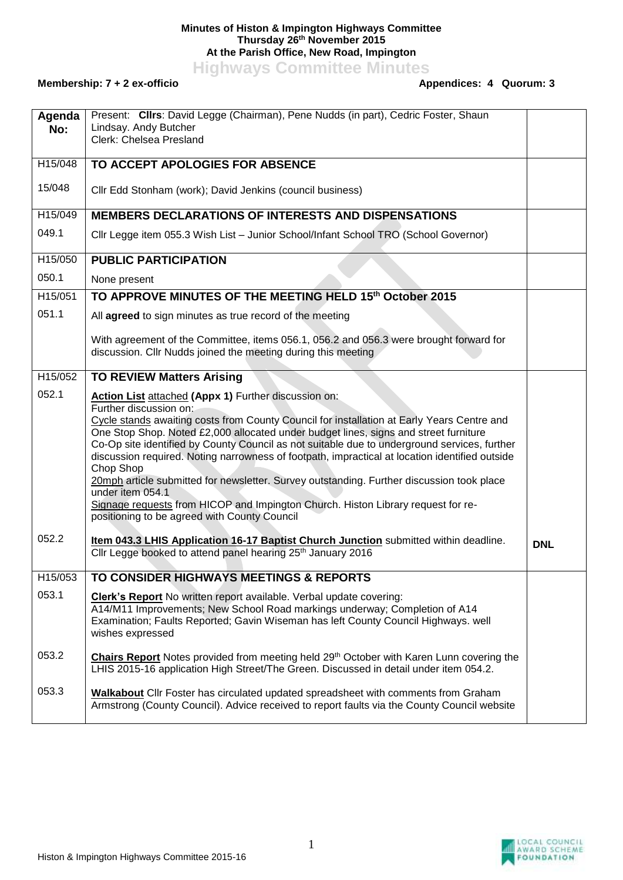## **Minutes of Histon & Impington Highways Committee Thursday 26th November 2015 At the Parish Office, New Road, Impington**

**Highways Committee Minutes**

## **Membership: 7 + 2 ex-officio**

| Agenda<br>No: | Present: Clirs: David Legge (Chairman), Pene Nudds (in part), Cedric Foster, Shaun<br>Lindsay. Andy Butcher<br>Clerk: Chelsea Presland                                                                                                                                                                                                                                                                                                                                                                                                                                                                                                                                                                                                   |            |  |  |  |
|---------------|------------------------------------------------------------------------------------------------------------------------------------------------------------------------------------------------------------------------------------------------------------------------------------------------------------------------------------------------------------------------------------------------------------------------------------------------------------------------------------------------------------------------------------------------------------------------------------------------------------------------------------------------------------------------------------------------------------------------------------------|------------|--|--|--|
| H15/048       | TO ACCEPT APOLOGIES FOR ABSENCE                                                                                                                                                                                                                                                                                                                                                                                                                                                                                                                                                                                                                                                                                                          |            |  |  |  |
| 15/048        | Cllr Edd Stonham (work); David Jenkins (council business)                                                                                                                                                                                                                                                                                                                                                                                                                                                                                                                                                                                                                                                                                |            |  |  |  |
| H15/049       | <b>MEMBERS DECLARATIONS OF INTERESTS AND DISPENSATIONS</b>                                                                                                                                                                                                                                                                                                                                                                                                                                                                                                                                                                                                                                                                               |            |  |  |  |
| 049.1         | Cllr Legge item 055.3 Wish List - Junior School/Infant School TRO (School Governor)                                                                                                                                                                                                                                                                                                                                                                                                                                                                                                                                                                                                                                                      |            |  |  |  |
| H15/050       | <b>PUBLIC PARTICIPATION</b>                                                                                                                                                                                                                                                                                                                                                                                                                                                                                                                                                                                                                                                                                                              |            |  |  |  |
| 050.1         | None present                                                                                                                                                                                                                                                                                                                                                                                                                                                                                                                                                                                                                                                                                                                             |            |  |  |  |
| H15/051       | TO APPROVE MINUTES OF THE MEETING HELD 15th October 2015                                                                                                                                                                                                                                                                                                                                                                                                                                                                                                                                                                                                                                                                                 |            |  |  |  |
| 051.1         | All agreed to sign minutes as true record of the meeting                                                                                                                                                                                                                                                                                                                                                                                                                                                                                                                                                                                                                                                                                 |            |  |  |  |
|               | With agreement of the Committee, items 056.1, 056.2 and 056.3 were brought forward for<br>discussion. Cllr Nudds joined the meeting during this meeting                                                                                                                                                                                                                                                                                                                                                                                                                                                                                                                                                                                  |            |  |  |  |
| H15/052       | <b>TO REVIEW Matters Arising</b>                                                                                                                                                                                                                                                                                                                                                                                                                                                                                                                                                                                                                                                                                                         |            |  |  |  |
| 052.1         | Action List attached (Appx 1) Further discussion on:<br>Further discussion on:<br>Cycle stands awaiting costs from County Council for installation at Early Years Centre and<br>One Stop Shop. Noted £2,000 allocated under budget lines, signs and street furniture<br>Co-Op site identified by County Council as not suitable due to underground services, further<br>discussion required. Noting narrowness of footpath, impractical at location identified outside<br>Chop Shop<br>20mph article submitted for newsletter. Survey outstanding. Further discussion took place<br>under item 054.1<br>Signage requests from HICOP and Impington Church. Histon Library request for re-<br>positioning to be agreed with County Council |            |  |  |  |
| 052.2         | Item 043.3 LHIS Application 16-17 Baptist Church Junction submitted within deadline.<br>Cllr Legge booked to attend panel hearing 25 <sup>th</sup> January 2016                                                                                                                                                                                                                                                                                                                                                                                                                                                                                                                                                                          | <b>DNL</b> |  |  |  |
| H15/053       | TO CONSIDER HIGHWAYS MEETINGS & REPORTS                                                                                                                                                                                                                                                                                                                                                                                                                                                                                                                                                                                                                                                                                                  |            |  |  |  |
| 053.1         | Clerk's Report No written report available. Verbal update covering:<br>A14/M11 Improvements; New School Road markings underway; Completion of A14<br>Examination; Faults Reported; Gavin Wiseman has left County Council Highways. well<br>wishes expressed                                                                                                                                                                                                                                                                                                                                                                                                                                                                              |            |  |  |  |
| 053.2         | Chairs Report Notes provided from meeting held 29th October with Karen Lunn covering the<br>LHIS 2015-16 application High Street/The Green. Discussed in detail under item 054.2.                                                                                                                                                                                                                                                                                                                                                                                                                                                                                                                                                        |            |  |  |  |
| 053.3         | <b>Walkabout</b> Cllr Foster has circulated updated spreadsheet with comments from Graham<br>Armstrong (County Council). Advice received to report faults via the County Council website                                                                                                                                                                                                                                                                                                                                                                                                                                                                                                                                                 |            |  |  |  |

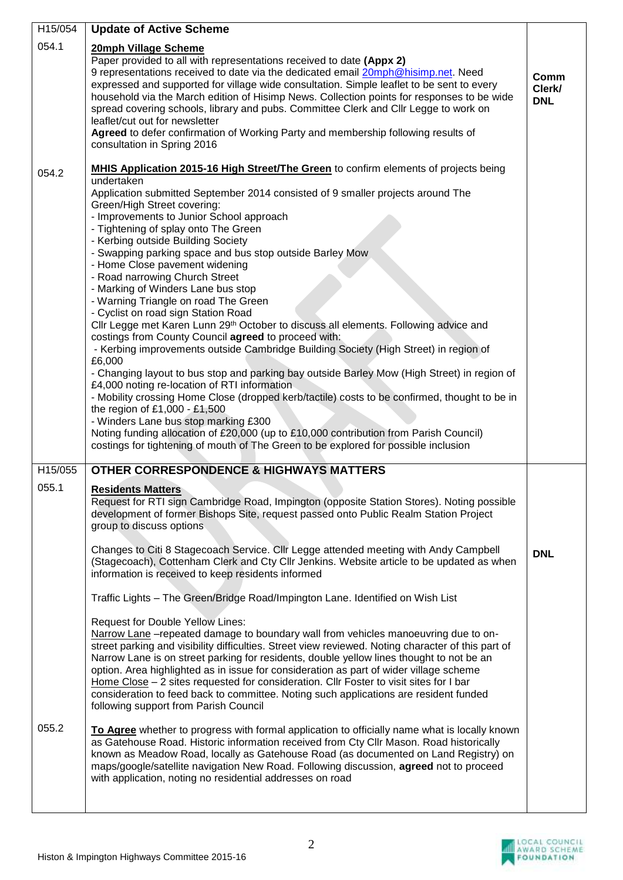| H15/054                   | <b>Update of Active Scheme</b>                                                                                                                                                                                                                                                                                                                                                                                                                                                                                                                                                                                                                                                                                                                                                                                                                                                                                                                                                                                                                                                                                                                                                                                                                                                                                                                                                                                                                                                                                                                                                                                                                                                                                                   |                              |
|---------------------------|----------------------------------------------------------------------------------------------------------------------------------------------------------------------------------------------------------------------------------------------------------------------------------------------------------------------------------------------------------------------------------------------------------------------------------------------------------------------------------------------------------------------------------------------------------------------------------------------------------------------------------------------------------------------------------------------------------------------------------------------------------------------------------------------------------------------------------------------------------------------------------------------------------------------------------------------------------------------------------------------------------------------------------------------------------------------------------------------------------------------------------------------------------------------------------------------------------------------------------------------------------------------------------------------------------------------------------------------------------------------------------------------------------------------------------------------------------------------------------------------------------------------------------------------------------------------------------------------------------------------------------------------------------------------------------------------------------------------------------|------------------------------|
| 054.1                     | 20mph Village Scheme<br>Paper provided to all with representations received to date (Appx 2)<br>9 representations received to date via the dedicated email 20mph@hisimp.net. Need<br>expressed and supported for village wide consultation. Simple leaflet to be sent to every<br>household via the March edition of Hisimp News. Collection points for responses to be wide<br>spread covering schools, library and pubs. Committee Clerk and Cllr Legge to work on<br>leaflet/cut out for newsletter<br>Agreed to defer confirmation of Working Party and membership following results of<br>consultation in Spring 2016                                                                                                                                                                                                                                                                                                                                                                                                                                                                                                                                                                                                                                                                                                                                                                                                                                                                                                                                                                                                                                                                                                       | Comm<br>Clerk/<br><b>DNL</b> |
| 054.2                     | <b>MHIS Application 2015-16 High Street/The Green</b> to confirm elements of projects being<br>undertaken<br>Application submitted September 2014 consisted of 9 smaller projects around The<br>Green/High Street covering:<br>- Improvements to Junior School approach<br>- Tightening of splay onto The Green<br>- Kerbing outside Building Society<br>- Swapping parking space and bus stop outside Barley Mow<br>- Home Close pavement widening<br>- Road narrowing Church Street<br>- Marking of Winders Lane bus stop<br>- Warning Triangle on road The Green<br>- Cyclist on road sign Station Road<br>Cllr Legge met Karen Lunn 29th October to discuss all elements. Following advice and<br>costings from County Council agreed to proceed with:<br>- Kerbing improvements outside Cambridge Building Society (High Street) in region of<br>£6,000<br>- Changing layout to bus stop and parking bay outside Barley Mow (High Street) in region of<br>£4,000 noting re-location of RTI information<br>- Mobility crossing Home Close (dropped kerb/tactile) costs to be confirmed, thought to be in<br>the region of £1,000 - £1,500<br>- Winders Lane bus stop marking £300<br>Noting funding allocation of £20,000 (up to £10,000 contribution from Parish Council)<br>costings for tightening of mouth of The Green to be explored for possible inclusion                                                                                                                                                                                                                                                                                                                                                            |                              |
| H15/055<br>055.1<br>055.2 | <b>OTHER CORRESPONDENCE &amp; HIGHWAYS MATTERS</b><br><b>Residents Matters</b><br>Request for RTI sign Cambridge Road, Impington (opposite Station Stores). Noting possible<br>development of former Bishops Site, request passed onto Public Realm Station Project<br>group to discuss options<br>Changes to Citi 8 Stagecoach Service. Cllr Legge attended meeting with Andy Campbell<br>(Stagecoach), Cottenham Clerk and Cty Cllr Jenkins. Website article to be updated as when<br>information is received to keep residents informed<br>Traffic Lights - The Green/Bridge Road/Impington Lane. Identified on Wish List<br><b>Request for Double Yellow Lines:</b><br>Narrow Lane - repeated damage to boundary wall from vehicles manoeuvring due to on-<br>street parking and visibility difficulties. Street view reviewed. Noting character of this part of<br>Narrow Lane is on street parking for residents, double yellow lines thought to not be an<br>option. Area highlighted as in issue for consideration as part of wider village scheme<br>Home Close - 2 sites requested for consideration. Cllr Foster to visit sites for I bar<br>consideration to feed back to committee. Noting such applications are resident funded<br>following support from Parish Council<br>To Agree whether to progress with formal application to officially name what is locally known<br>as Gatehouse Road. Historic information received from Cty Cllr Mason. Road historically<br>known as Meadow Road, locally as Gatehouse Road (as documented on Land Registry) on<br>maps/google/satellite navigation New Road. Following discussion, agreed not to proceed<br>with application, noting no residential addresses on road | <b>DNL</b>                   |

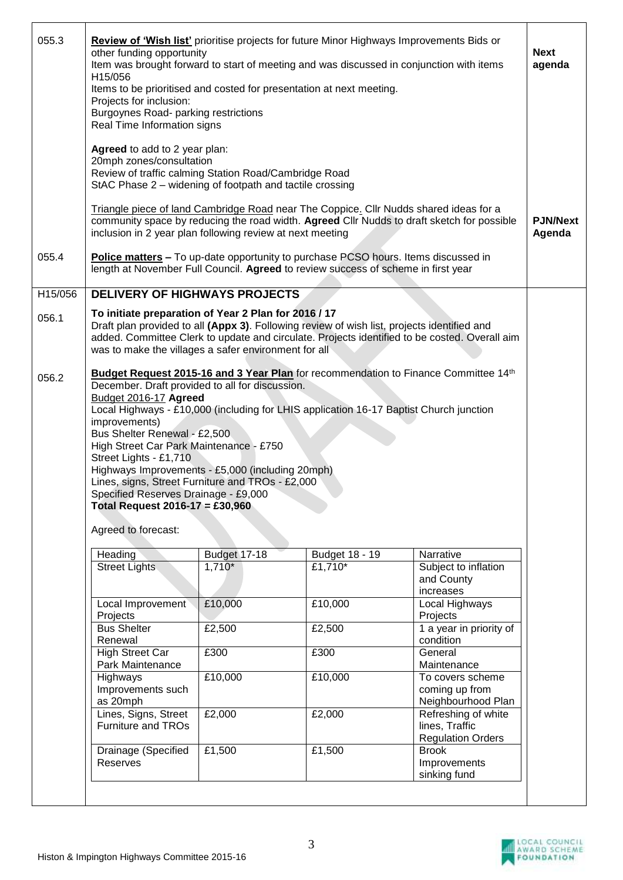| 055.3   | <b>Review of 'Wish list'</b> prioritise projects for future Minor Highways Improvements Bids or<br>other funding opportunity<br>Item was brought forward to start of meeting and was discussed in conjunction with items<br>H15/056<br>Items to be prioritised and costed for presentation at next meeting.<br>Projects for inclusion:<br>Burgoynes Road- parking restrictions<br>Real Time Information signs                                                                                                                                                      |              |                |                                                                   |  |  |  |
|---------|--------------------------------------------------------------------------------------------------------------------------------------------------------------------------------------------------------------------------------------------------------------------------------------------------------------------------------------------------------------------------------------------------------------------------------------------------------------------------------------------------------------------------------------------------------------------|--------------|----------------|-------------------------------------------------------------------|--|--|--|
|         | Agreed to add to 2 year plan:<br>20mph zones/consultation<br>Review of traffic calming Station Road/Cambridge Road<br>StAC Phase 2 – widening of footpath and tactile crossing                                                                                                                                                                                                                                                                                                                                                                                     |              |                |                                                                   |  |  |  |
|         | Triangle piece of land Cambridge Road near The Coppice. Cllr Nudds shared ideas for a<br>community space by reducing the road width. Agreed Cllr Nudds to draft sketch for possible<br>inclusion in 2 year plan following review at next meeting                                                                                                                                                                                                                                                                                                                   |              |                |                                                                   |  |  |  |
| 055.4   | <b>Police matters - To up-date opportunity to purchase PCSO hours. Items discussed in</b><br>length at November Full Council. Agreed to review success of scheme in first year                                                                                                                                                                                                                                                                                                                                                                                     |              |                |                                                                   |  |  |  |
| H15/056 | <b>DELIVERY OF HIGHWAYS PROJECTS</b>                                                                                                                                                                                                                                                                                                                                                                                                                                                                                                                               |              |                |                                                                   |  |  |  |
| 056.1   | To initiate preparation of Year 2 Plan for 2016 / 17<br>Draft plan provided to all (Appx 3). Following review of wish list, projects identified and<br>added. Committee Clerk to update and circulate. Projects identified to be costed. Overall aim<br>was to make the villages a safer environment for all                                                                                                                                                                                                                                                       |              |                |                                                                   |  |  |  |
| 056.2   | Budget Request 2015-16 and 3 Year Plan for recommendation to Finance Committee 14th<br>December. Draft provided to all for discussion.<br>Budget 2016-17 Agreed<br>Local Highways - £10,000 (including for LHIS application 16-17 Baptist Church junction<br>improvements)<br>Bus Shelter Renewal - £2,500<br>High Street Car Park Maintenance - £750<br>Street Lights - £1,710<br>Highways Improvements - £5,000 (including 20mph)<br>Lines, signs, Street Furniture and TROs - £2,000<br>Specified Reserves Drainage - £9,000<br>Total Request 2016-17 = £30,960 |              |                |                                                                   |  |  |  |
|         | Agreed to forecast:                                                                                                                                                                                                                                                                                                                                                                                                                                                                                                                                                |              |                |                                                                   |  |  |  |
|         | Heading                                                                                                                                                                                                                                                                                                                                                                                                                                                                                                                                                            | Budget 17-18 | Budget 18 - 19 | Narrative                                                         |  |  |  |
|         | <b>Street Lights</b>                                                                                                                                                                                                                                                                                                                                                                                                                                                                                                                                               | $1,710*$     | £1,710*        | Subject to inflation<br>and County<br>increases                   |  |  |  |
|         | Local Improvement<br>Projects                                                                                                                                                                                                                                                                                                                                                                                                                                                                                                                                      | £10,000      | £10,000        | Local Highways<br>Projects                                        |  |  |  |
|         | <b>Bus Shelter</b><br>Renewal                                                                                                                                                                                                                                                                                                                                                                                                                                                                                                                                      | £2,500       | £2,500         | 1 a year in priority of<br>condition                              |  |  |  |
|         | <b>High Street Car</b><br>Park Maintenance                                                                                                                                                                                                                                                                                                                                                                                                                                                                                                                         | £300         | £300           | General<br>Maintenance                                            |  |  |  |
|         | Highways<br>Improvements such<br>as 20mph                                                                                                                                                                                                                                                                                                                                                                                                                                                                                                                          | £10,000      | £10,000        | To covers scheme<br>coming up from<br>Neighbourhood Plan          |  |  |  |
|         | Lines, Signs, Street<br><b>Furniture and TROs</b>                                                                                                                                                                                                                                                                                                                                                                                                                                                                                                                  | £2,000       | £2,000         | Refreshing of white<br>lines, Traffic<br><b>Regulation Orders</b> |  |  |  |
|         | Drainage (Specified<br>Reserves                                                                                                                                                                                                                                                                                                                                                                                                                                                                                                                                    | £1,500       | £1,500         | <b>Brook</b><br>Improvements<br>sinking fund                      |  |  |  |
|         |                                                                                                                                                                                                                                                                                                                                                                                                                                                                                                                                                                    |              |                |                                                                   |  |  |  |